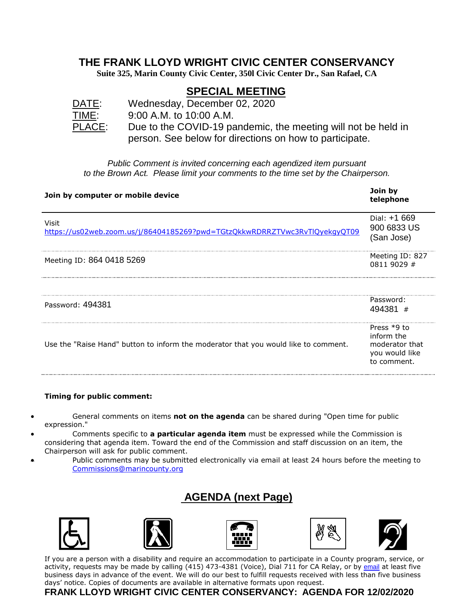#### **THE FRANK LLOYD WRIGHT CIVIC CENTER CONSERVANCY**

**Suite 325, Marin County Civic Center, 350l Civic Center Dr., San Rafael, CA**

## **SPECIAL MEETING**

| ΔI<br>Ð              |
|----------------------|
| MЕ<br>l 11           |
| $\overline{P}$<br>Ι. |
|                      |

Wednesday, December 02, 2020 9:00 A.M. to 10:00 A.M.  $\mathbb{R}$ : Due to the COVID-19 pandemic, the meeting will not be held in person. See below for directions on how to participate.

*Public Comment is invited concerning each agendized item pursuant to the Brown Act. Please limit your comments to the time set by the Chairperson.*

| Join by computer or mobile device                                                   | Join by<br>telephone                                                           |
|-------------------------------------------------------------------------------------|--------------------------------------------------------------------------------|
| Visit<br>https://us02web.zoom.us/j/86404185269?pwd=TGtzQkkwRDRRZTVwc3RvTlQyekgyQT09 | Dial: $+1669$<br>900 6833 US<br>(San Jose)                                     |
| Meeting ID: 864 0418 5269                                                           | Meeting ID: 827<br>0811 9029 #                                                 |
|                                                                                     |                                                                                |
| Password: 494381                                                                    | Password:<br>494381 #                                                          |
| Use the "Raise Hand" button to inform the moderator that you would like to comment. | Press $*9$ to<br>inform the<br>moderator that<br>you would like<br>to comment. |

#### **Timing for public comment:**

- General comments on items **not on the agenda** can be shared during "Open time for public expression."
- Comments specific to **a particular agenda item** must be expressed while the Commission is considering that agenda item. Toward the end of the Commission and staff discussion on an item, the Chairperson will ask for public comment.
- Public comments may be submitted electronically via email at least 24 hours before the meeting to [Commissions@marincounty.org](mailto:Commissions@marincounty.org)

## **AGENDA (next Page)**











If you are a person with a disability and require an accommodation to participate in a County program, service, or activity, requests may be made by calling (415) 473-4381 (Voice), Dial 711 for CA Relay, or by [email](https://www.marincounty.org/Global/Contact-Us-Form?id=+kWKcCF02aMIhbuNecpG4CA+9djhWxLkHmg7sQFDfb4Pd5JIDngLdg==&dn=Disability+Access) at least five business days in advance of the event. We will do our best to fulfill requests received with less than five business days' notice. Copies of documents are available in alternative formats upon request.

#### **FRANK LLOYD WRIGHT CIVIC CENTER CONSERVANCY: AGENDA FOR 12/02/2020**